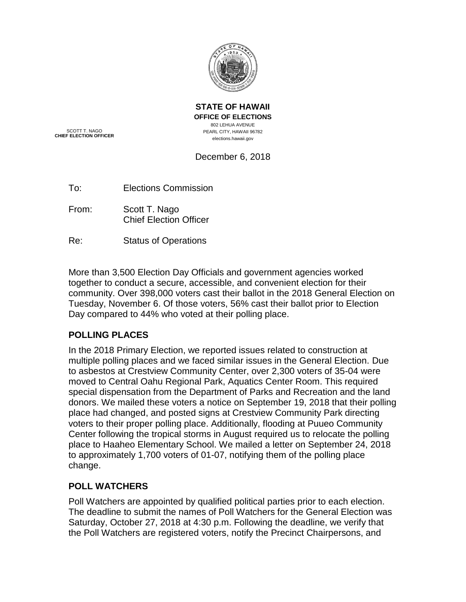

**STATE OF HAWAII OFFICE OF ELECTIONS** 802 LEHUA AVENUE PEARL CITY, HAWAII 96782 elections.hawaii.gov

SCOTT T. NAGO **CHIEF ELECTION OFFICER**

# December 6, 2018

- From: Scott T. Nago Chief Election Officer
- Re: Status of Operations

More than 3,500 Election Day Officials and government agencies worked together to conduct a secure, accessible, and convenient election for their community. Over 398,000 voters cast their ballot in the 2018 General Election on Tuesday, November 6. Of those voters, 56% cast their ballot prior to Election Day compared to 44% who voted at their polling place.

# **POLLING PLACES**

In the 2018 Primary Election, we reported issues related to construction at multiple polling places and we faced similar issues in the General Election. Due to asbestos at Crestview Community Center, over 2,300 voters of 35-04 were moved to Central Oahu Regional Park, Aquatics Center Room. This required special dispensation from the Department of Parks and Recreation and the land donors. We mailed these voters a notice on September 19, 2018 that their polling place had changed, and posted signs at Crestview Community Park directing voters to their proper polling place. Additionally, flooding at Puueo Community Center following the tropical storms in August required us to relocate the polling place to Haaheo Elementary School. We mailed a letter on September 24, 2018 to approximately 1,700 voters of 01-07, notifying them of the polling place change.

## **POLL WATCHERS**

Poll Watchers are appointed by qualified political parties prior to each election. The deadline to submit the names of Poll Watchers for the General Election was Saturday, October 27, 2018 at 4:30 p.m. Following the deadline, we verify that the Poll Watchers are registered voters, notify the Precinct Chairpersons, and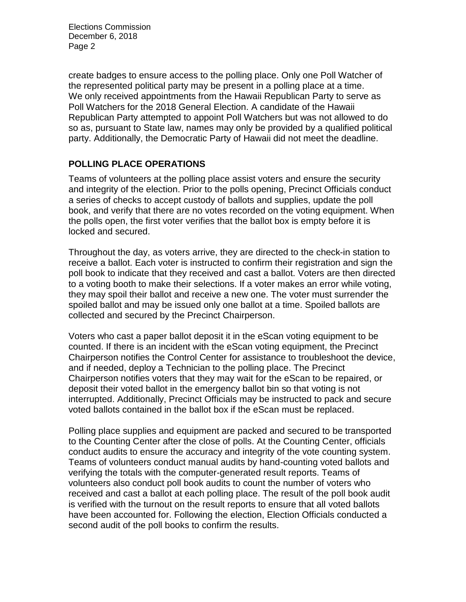create badges to ensure access to the polling place. Only one Poll Watcher of the represented political party may be present in a polling place at a time. We only received appointments from the Hawaii Republican Party to serve as Poll Watchers for the 2018 General Election. A candidate of the Hawaii Republican Party attempted to appoint Poll Watchers but was not allowed to do so as, pursuant to State law, names may only be provided by a qualified political party. Additionally, the Democratic Party of Hawaii did not meet the deadline.

### **POLLING PLACE OPERATIONS**

Teams of volunteers at the polling place assist voters and ensure the security and integrity of the election. Prior to the polls opening, Precinct Officials conduct a series of checks to accept custody of ballots and supplies, update the poll book, and verify that there are no votes recorded on the voting equipment. When the polls open, the first voter verifies that the ballot box is empty before it is locked and secured.

Throughout the day, as voters arrive, they are directed to the check-in station to receive a ballot. Each voter is instructed to confirm their registration and sign the poll book to indicate that they received and cast a ballot. Voters are then directed to a voting booth to make their selections. If a voter makes an error while voting, they may spoil their ballot and receive a new one. The voter must surrender the spoiled ballot and may be issued only one ballot at a time. Spoiled ballots are collected and secured by the Precinct Chairperson.

Voters who cast a paper ballot deposit it in the eScan voting equipment to be counted. If there is an incident with the eScan voting equipment, the Precinct Chairperson notifies the Control Center for assistance to troubleshoot the device, and if needed, deploy a Technician to the polling place. The Precinct Chairperson notifies voters that they may wait for the eScan to be repaired, or deposit their voted ballot in the emergency ballot bin so that voting is not interrupted. Additionally, Precinct Officials may be instructed to pack and secure voted ballots contained in the ballot box if the eScan must be replaced.

Polling place supplies and equipment are packed and secured to be transported to the Counting Center after the close of polls. At the Counting Center, officials conduct audits to ensure the accuracy and integrity of the vote counting system. Teams of volunteers conduct manual audits by hand-counting voted ballots and verifying the totals with the computer-generated result reports. Teams of volunteers also conduct poll book audits to count the number of voters who received and cast a ballot at each polling place. The result of the poll book audit is verified with the turnout on the result reports to ensure that all voted ballots have been accounted for. Following the election, Election Officials conducted a second audit of the poll books to confirm the results.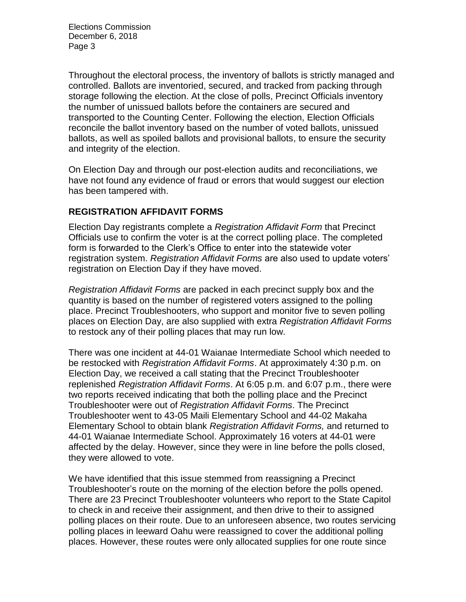Throughout the electoral process, the inventory of ballots is strictly managed and controlled. Ballots are inventoried, secured, and tracked from packing through storage following the election. At the close of polls, Precinct Officials inventory the number of unissued ballots before the containers are secured and transported to the Counting Center. Following the election, Election Officials reconcile the ballot inventory based on the number of voted ballots, unissued ballots, as well as spoiled ballots and provisional ballots, to ensure the security and integrity of the election.

On Election Day and through our post-election audits and reconciliations, we have not found any evidence of fraud or errors that would suggest our election has been tampered with.

### **REGISTRATION AFFIDAVIT FORMS**

Election Day registrants complete a *Registration Affidavit Form* that Precinct Officials use to confirm the voter is at the correct polling place. The completed form is forwarded to the Clerk's Office to enter into the statewide voter registration system. *Registration Affidavit Forms* are also used to update voters' registration on Election Day if they have moved.

*Registration Affidavit Forms* are packed in each precinct supply box and the quantity is based on the number of registered voters assigned to the polling place. Precinct Troubleshooters, who support and monitor five to seven polling places on Election Day, are also supplied with extra *Registration Affidavit Forms* to restock any of their polling places that may run low.

There was one incident at 44-01 Waianae Intermediate School which needed to be restocked with *Registration Affidavit Forms*. At approximately 4:30 p.m. on Election Day, we received a call stating that the Precinct Troubleshooter replenished *Registration Affidavit Forms*. At 6:05 p.m. and 6:07 p.m., there were two reports received indicating that both the polling place and the Precinct Troubleshooter were out of *Registration Affidavit Forms*. The Precinct Troubleshooter went to 43-05 Maili Elementary School and 44-02 Makaha Elementary School to obtain blank *Registration Affidavit Forms,* and returned to 44-01 Waianae Intermediate School. Approximately 16 voters at 44-01 were affected by the delay. However, since they were in line before the polls closed, they were allowed to vote.

We have identified that this issue stemmed from reassigning a Precinct Troubleshooter's route on the morning of the election before the polls opened. There are 23 Precinct Troubleshooter volunteers who report to the State Capitol to check in and receive their assignment, and then drive to their to assigned polling places on their route. Due to an unforeseen absence, two routes servicing polling places in leeward Oahu were reassigned to cover the additional polling places. However, these routes were only allocated supplies for one route since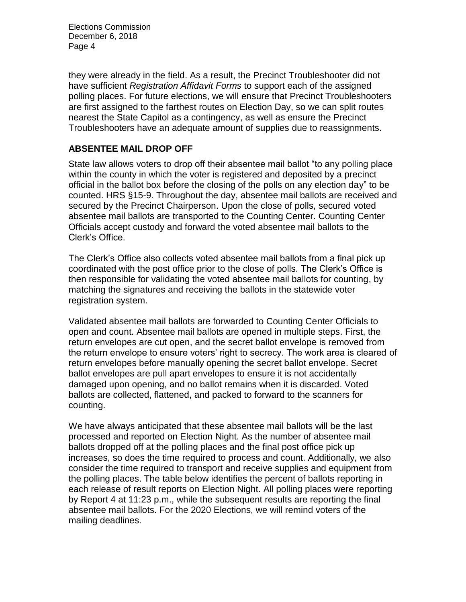they were already in the field. As a result, the Precinct Troubleshooter did not have sufficient *Registration Affidavit Forms* to support each of the assigned polling places. For future elections, we will ensure that Precinct Troubleshooters are first assigned to the farthest routes on Election Day, so we can split routes nearest the State Capitol as a contingency, as well as ensure the Precinct Troubleshooters have an adequate amount of supplies due to reassignments.

### **ABSENTEE MAIL DROP OFF**

State law allows voters to drop off their absentee mail ballot "to any polling place within the county in which the voter is registered and deposited by a precinct official in the ballot box before the closing of the polls on any election day" to be counted. HRS §15-9. Throughout the day, absentee mail ballots are received and secured by the Precinct Chairperson. Upon the close of polls, secured voted absentee mail ballots are transported to the Counting Center. Counting Center Officials accept custody and forward the voted absentee mail ballots to the Clerk's Office.

The Clerk's Office also collects voted absentee mail ballots from a final pick up coordinated with the post office prior to the close of polls. The Clerk's Office is then responsible for validating the voted absentee mail ballots for counting, by matching the signatures and receiving the ballots in the statewide voter registration system.

Validated absentee mail ballots are forwarded to Counting Center Officials to open and count. Absentee mail ballots are opened in multiple steps. First, the return envelopes are cut open, and the secret ballot envelope is removed from the return envelope to ensure voters' right to secrecy. The work area is cleared of return envelopes before manually opening the secret ballot envelope. Secret ballot envelopes are pull apart envelopes to ensure it is not accidentally damaged upon opening, and no ballot remains when it is discarded. Voted ballots are collected, flattened, and packed to forward to the scanners for counting.

We have always anticipated that these absentee mail ballots will be the last processed and reported on Election Night. As the number of absentee mail ballots dropped off at the polling places and the final post office pick up increases, so does the time required to process and count. Additionally, we also consider the time required to transport and receive supplies and equipment from the polling places. The table below identifies the percent of ballots reporting in each release of result reports on Election Night. All polling places were reporting by Report 4 at 11:23 p.m., while the subsequent results are reporting the final absentee mail ballots. For the 2020 Elections, we will remind voters of the mailing deadlines.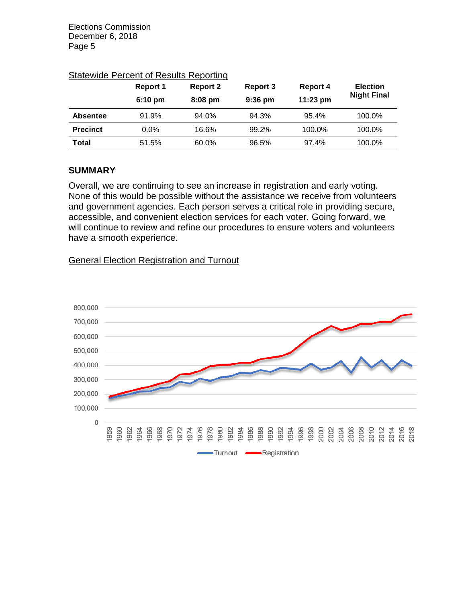|                 | Report 1<br>$6:10 \text{ pm}$ | <b>Report 2</b><br>$8:08$ pm | Report 3<br>$9:36$ pm | <b>Report 4</b><br>11:23 pm | <b>Election</b><br><b>Night Final</b> |
|-----------------|-------------------------------|------------------------------|-----------------------|-----------------------------|---------------------------------------|
| <b>Absentee</b> | 91.9%                         | 94.0%                        | 94.3%                 | 95.4%                       | 100.0%                                |
| <b>Precinct</b> | $0.0\%$                       | 16.6%                        | 99.2%                 | 100.0%                      | 100.0%                                |
| <b>Total</b>    | 51.5%                         | 60.0%                        | 96.5%                 | 97.4%                       | 100.0%                                |

#### Statewide Percent of Results Reporting

### **SUMMARY**

Overall, we are continuing to see an increase in registration and early voting. None of this would be possible without the assistance we receive from volunteers and government agencies. Each person serves a critical role in providing secure, accessible, and convenient election services for each voter. Going forward, we will continue to review and refine our procedures to ensure voters and volunteers have a smooth experience.

#### General Election Registration and Turnout